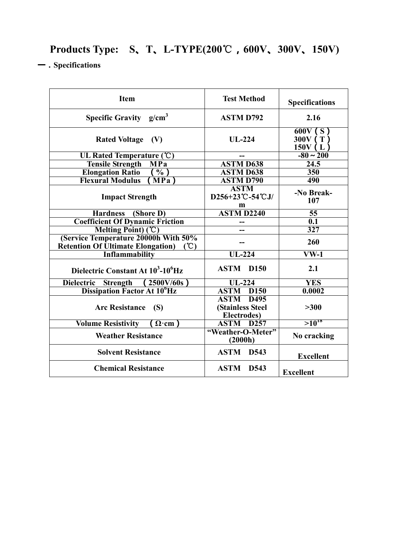## **Products Type: S、T、L-TYPE(200**℃**,600V、300V、150V)**

**一.Specifications**

| <b>Item</b>                                                                              | <b>Test Method</b>                                                  | <b>Specifications</b>          |  |  |
|------------------------------------------------------------------------------------------|---------------------------------------------------------------------|--------------------------------|--|--|
| <b>Specific Gravity</b> $g/cm^3$                                                         | <b>ASTM D792</b>                                                    | 2.16                           |  |  |
| Rated Voltage (V)                                                                        | $UL-224$                                                            | 600V(S)<br>300V (T)<br>150V(L) |  |  |
| UL Rated Temperature (°C)                                                                |                                                                     | $-80 \sim 200$                 |  |  |
| <b>Tensile Strength</b><br>$\overline{\mathbf{MP}}\mathbf{a}$                            | <b>ASTM D638</b>                                                    | 24.5                           |  |  |
| <b>Elongation Ratio</b><br>$\overline{\frac{0}{6}})$                                     | <b>ASTM D638</b>                                                    | 350                            |  |  |
| <b>Flexural Modulus</b><br>$MPa$ )                                                       | <b>ASTM D790</b>                                                    | 490                            |  |  |
| <b>Impact Strength</b>                                                                   | <b>ASTM</b><br>D256+23°C-54°CJ/<br>m                                | -No Break-<br>107              |  |  |
| Hardness (Shore D)                                                                       | <b>ASTM D2240</b>                                                   | 55                             |  |  |
| <b>Coefficient Of Dynamic Friction</b>                                                   |                                                                     | $\overline{0.1}$               |  |  |
| Melting Point) (°C)                                                                      |                                                                     | $\overline{327}$               |  |  |
| (Service Temperature 20000h With 50%<br><b>Retention Of Ultimate Elongation</b> )<br>(C) |                                                                     | 260                            |  |  |
| <b>Inflammability</b>                                                                    | $UL-224$                                                            | $\overline{\text{VW-1}}$       |  |  |
| Dielectric Constant At 10 <sup>3</sup> -10 <sup>6</sup> Hz                               | <b>ASTM D150</b>                                                    | 2.1                            |  |  |
| Dielectric Strength<br>$(2500 \text{V}/60 \text{s})$                                     | $UL-224$                                                            | <b>YES</b>                     |  |  |
| Dissipation Factor At 10 <sup>6</sup> Hz                                                 | <b>ASTM</b><br>D <sub>150</sub>                                     | 0.0002                         |  |  |
| <b>Arc Resistance</b><br>(S)                                                             | <b>ASTM D495</b><br><b>(Stainless Steel)</b><br><b>Electrodes</b> ) | >300                           |  |  |
| <b>Volume Resistivity</b><br>$\Omega$ cm                                                 | <b>ASTM D257</b>                                                    | $>10^{18}$                     |  |  |
| <b>Weather Resistance</b>                                                                | "Weather-O-Meter"<br>(2000h)                                        | No cracking                    |  |  |
| <b>Solvent Resistance</b>                                                                | <b>ASTM D543</b>                                                    | <b>Excellent</b>               |  |  |
| <b>Chemical Resistance</b>                                                               | <b>ASTM</b><br>D543                                                 | <b>Excellent</b>               |  |  |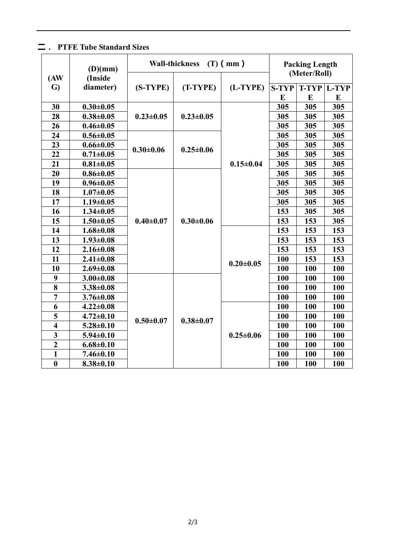## **二. PTFE Tube Standard Sizes**

| (AW)                    | (D)(mm)<br>(Inside |                 | <b>Wall-thickness</b> | $(T)$ (mm)      |              | <b>Packing Length</b><br>(Meter/Roll) |       |  |
|-------------------------|--------------------|-----------------|-----------------------|-----------------|--------------|---------------------------------------|-------|--|
| G)                      | diameter)          | (S-TYPE)        | (T-TYPE)              | (L-TYPE)        | <b>S-TYP</b> | <b>T-TYP</b>                          | L-TYP |  |
|                         |                    |                 |                       |                 | E            | E                                     | E     |  |
| 30                      | $0.30 \pm 0.05$    |                 | $0.23 \pm 0.05$       | $0.15 \pm 0.04$ | 305          | 305                                   | 305   |  |
| 28                      | $0.38 + 0.05$      | $0.23 \pm 0.05$ |                       |                 | 305          | 305                                   | 305   |  |
| 26                      | $0.46 \pm 0.05$    |                 |                       |                 | 305          | 305                                   | 305   |  |
| 24                      | $0.56 \pm 0.05$    |                 | $0.25 \pm 0.06$       |                 | 305          | 305                                   | 305   |  |
| 23                      | $0.66 \pm 0.05$    | $0.30 \pm 0.06$ |                       |                 | 305          | 305                                   | 305   |  |
| 22                      | $0.71 \pm 0.05$    |                 |                       |                 | 305          | 305                                   | 305   |  |
| 21                      | $0.81 \pm 0.05$    |                 |                       |                 | 305          | 305                                   | 305   |  |
| 20                      | $0.86 \pm 0.05$    |                 | $0.30 \pm 0.06$       |                 | 305          | 305                                   | 305   |  |
| 19                      | $0.96 \pm 0.05$    | $0.40 \pm 0.07$ |                       |                 | 305          | 305                                   | 305   |  |
| 18                      | $1.07 \pm 0.05$    |                 |                       |                 | 305          | 305                                   | 305   |  |
| 17                      | $1.19 \pm 0.05$    |                 |                       |                 | 305          | 305                                   | 305   |  |
| 16                      | $1.34 \pm 0.05$    |                 |                       |                 | 153          | 305                                   | 305   |  |
| 15                      | $1.50 \pm 0.05$    |                 |                       |                 | 153          | 153                                   | 305   |  |
| 14                      | $1.68 \pm 0.08$    |                 |                       | $0.20 \pm 0.05$ | 153          | 153                                   | 153   |  |
| 13                      | $1.93 \pm 0.08$    |                 |                       |                 | 153          | 153                                   | 153   |  |
| 12                      | $2.16 \pm 0.08$    |                 |                       |                 | 153          | 153                                   | 153   |  |
| 11                      | $2.41 \pm 0.08$    |                 |                       |                 | 100          | 153                                   | 153   |  |
| 10                      | $2.69 \pm 0.08$    |                 |                       |                 | 100          | 100                                   | 100   |  |
| 9                       | $3.00 \pm 0.08$    |                 | $0.38 + 0.07$         |                 | 100          | 100                                   | 100   |  |
| 8                       | $3.38 \pm 0.08$    |                 |                       |                 | 100          | 100                                   | 100   |  |
| $\overline{7}$          | $3.76 \pm 0.08$    |                 |                       |                 | 100          | 100                                   | 100   |  |
| 6                       | $4.22 \pm 0.08$    | $0.50 \pm 0.07$ |                       | $0.25 \pm 0.06$ | 100          | 100                                   | 100   |  |
| 5                       | $4.72 \pm 0.10$    |                 |                       |                 | 100          | 100                                   | 100   |  |
| $\overline{\mathbf{4}}$ | $5.28 \pm 0.10$    |                 |                       |                 | 100          | 100                                   | 100   |  |
| $\overline{\mathbf{3}}$ | $5.94 \pm 0.10$    |                 |                       |                 | 100          | 100                                   | 100   |  |
| $\overline{2}$          | $6.68 \pm 0.10$    |                 |                       |                 | 100          | 100                                   | 100   |  |
| $\mathbf{1}$            | $7.46 \pm 0.10$    |                 |                       |                 | 100          | 100                                   | 100   |  |
| $\boldsymbol{0}$        | $8.38 \pm 0.10$    |                 |                       |                 | 100          | 100                                   | 100   |  |